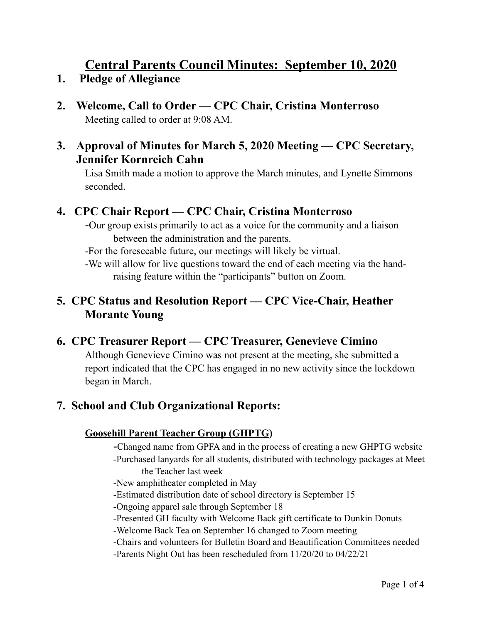# **Central Parents Council Minutes: September 10, 2020**

- **1. Pledge of Allegiance**
- **2. Welcome, Call to Order CPC Chair, Cristina Monterroso**  Meeting called to order at 9:08 AM.

### **3. Approval of Minutes for March 5, 2020 Meeting — CPC Secretary, Jennifer Kornreich Cahn**

Lisa Smith made a motion to approve the March minutes, and Lynette Simmons seconded.

## **4. CPC Chair Report — CPC Chair, Cristina Monterroso**

-Our group exists primarily to act as a voice for the community and a liaison between the administration and the parents.

-For the foreseeable future, our meetings will likely be virtual.

 -We will allow for live questions toward the end of each meeting via the hand raising feature within the "participants" button on Zoom.

## **5. CPC Status and Resolution Report — CPC Vice-Chair, Heather Morante Young**

## **6. CPC Treasurer Report — CPC Treasurer, Genevieve Cimino**

Although Genevieve Cimino was not present at the meeting, she submitted a report indicated that the CPC has engaged in no new activity since the lockdown began in March.

## **7. School and Club Organizational Reports:**

### **Goosehill Parent Teacher Group (GHPTG)**

- -Changed name from GPFA and in the process of creating a new GHPTG website
- -Purchased lanyards for all students, distributed with technology packages at Meet the Teacher last week
- -New amphitheater completed in May
- -Estimated distribution date of school directory is September 15
- -Ongoing apparel sale through September 18
- -Presented GH faculty with Welcome Back gift certificate to Dunkin Donuts
- -Welcome Back Tea on September 16 changed to Zoom meeting
- -Chairs and volunteers for Bulletin Board and Beautification Committees needed
- -Parents Night Out has been rescheduled from 11/20/20 to 04/22/21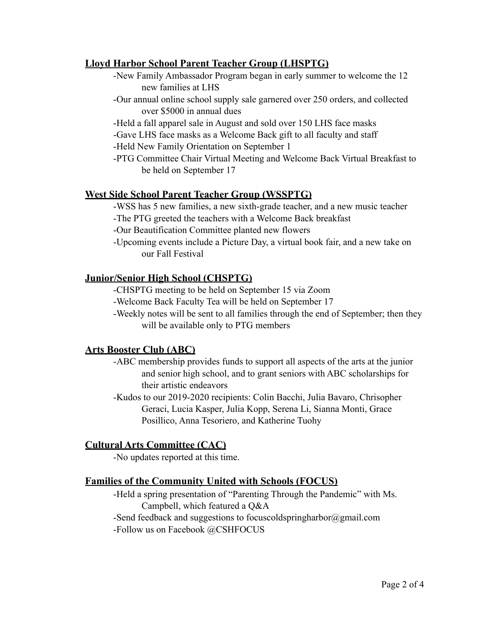#### **Lloyd Harbor School Parent Teacher Group (LHSPTG)**

- -New Family Ambassador Program began in early summer to welcome the 12 new families at LHS
- -Our annual online school supply sale garnered over 250 orders, and collected over \$5000 in annual dues
- -Held a fall apparel sale in August and sold over 150 LHS face masks
- -Gave LHS face masks as a Welcome Back gift to all faculty and staff
- -Held New Family Orientation on September 1
- -PTG Committee Chair Virtual Meeting and Welcome Back Virtual Breakfast to be held on September 17

#### **West Side School Parent Teacher Group (WSSPTG)**

 -WSS has 5 new families, a new sixth-grade teacher, and a new music teacher -The PTG greeted the teachers with a Welcome Back breakfast

- 
- -Our Beautification Committee planted new flowers
- -Upcoming events include a Picture Day, a virtual book fair, and a new take on our Fall Festival

#### **Junior/Senior High School (CHSPTG)**

-CHSPTG meeting to be held on September 15 via Zoom

- -Welcome Back Faculty Tea will be held on September 17
- -Weekly notes will be sent to all families through the end of September; then they will be available only to PTG members

#### **Arts Booster Club (ABC)**

- -ABC membership provides funds to support all aspects of the arts at the junior and senior high school, and to grant seniors with ABC scholarships for their artistic endeavors
- -Kudos to our 2019-2020 recipients: Colin Bacchi, Julia Bavaro, Chrisopher Geraci, Lucia Kasper, Julia Kopp, Serena Li, Sianna Monti, Grace Posillico, Anna Tesoriero, and Katherine Tuohy

#### **Cultural Arts Committee (CAC)**

-No updates reported at this time.

#### **Families of the Community United with Schools (FOCUS)**

 -Held a spring presentation of "Parenting Through the Pandemic" with Ms. Campbell, which featured a Q&A

 -Send feedback and suggestions to [focuscoldspringharbor@gmail.com](mailto:focuscoldspringharbor@gmail.com)  -Follow us on Facebook @CSHFOCUS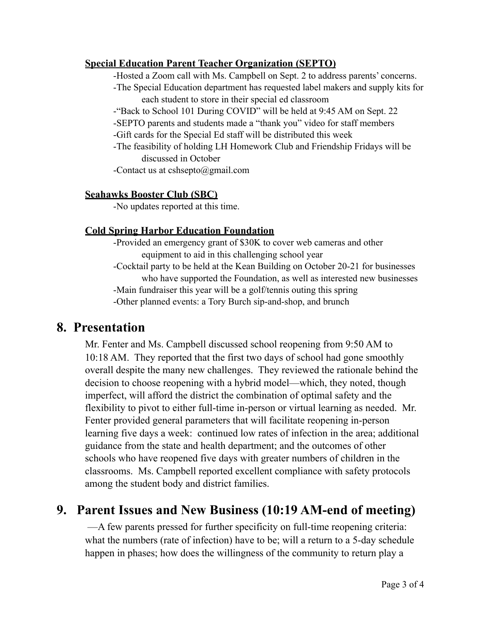#### **Special Education Parent Teacher Organization (SEPTO)**

-Hosted a Zoom call with Ms. Campbell on Sept. 2 to address parents' concerns.

- -The Special Education department has requested label makers and supply kits for each student to store in their special ed classroom
- -"Back to School 101 During COVID" will be held at 9:45 AM on Sept. 22
- -SEPTO parents and students made a "thank you" video for staff members
- -Gift cards for the Special Ed staff will be distributed this week
- -The feasibility of holding LH Homework Club and Friendship Fridays will be discussed in October

-Contact us at [cshsepto@gmail.com](mailto:cshsepto@gmail.com)

#### **Seahawks Booster Club (SBC)**

-No updates reported at this time.

#### **Cold Spring Harbor Education Foundation**

- -Provided an emergency grant of \$30K to cover web cameras and other equipment to aid in this challenging school year
- -Cocktail party to be held at the Kean Building on October 20-21 for businesses who have supported the Foundation, as well as interested new businesses -Main fundraiser this year will be a golf/tennis outing this spring -Other planned events: a Tory Burch sip-and-shop, and brunch

## **8. Presentation**

Mr. Fenter and Ms. Campbell discussed school reopening from 9:50 AM to 10:18 AM. They reported that the first two days of school had gone smoothly overall despite the many new challenges. They reviewed the rationale behind the decision to choose reopening with a hybrid model—which, they noted, though imperfect, will afford the district the combination of optimal safety and the flexibility to pivot to either full-time in-person or virtual learning as needed. Mr. Fenter provided general parameters that will facilitate reopening in-person learning five days a week: continued low rates of infection in the area; additional guidance from the state and health department; and the outcomes of other schools who have reopened five days with greater numbers of children in the classrooms. Ms. Campbell reported excellent compliance with safety protocols among the student body and district families.

## **9. Parent Issues and New Business (10:19 AM-end of meeting)**

 —A few parents pressed for further specificity on full-time reopening criteria: what the numbers (rate of infection) have to be; will a return to a 5-day schedule happen in phases; how does the willingness of the community to return play a